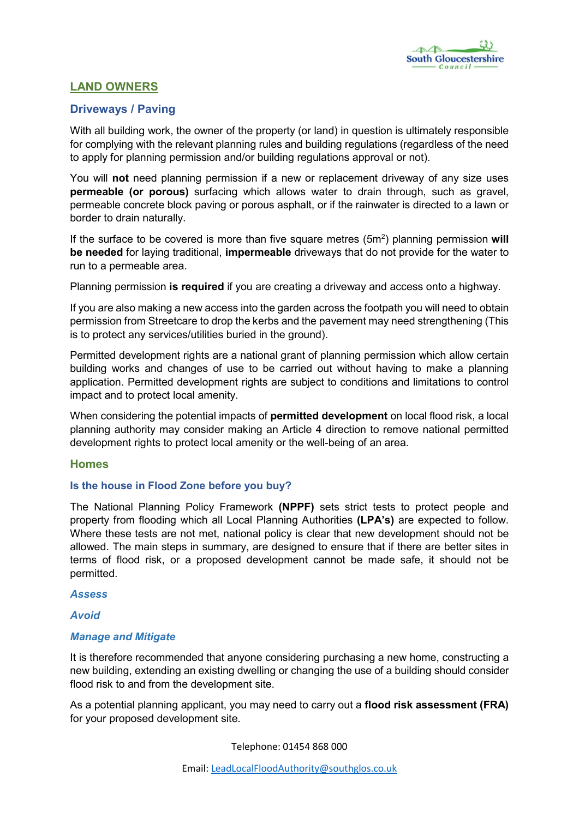# LAND OWNERS

# Driveways / Paving

With all building work, the owner of the property (or land) in question is ultimately responsible for complying with the relevant planning rules and building regulations (regardless of the need to apply for planning permission and/or building regulations approval or not).

You will not need planning permission if a new or replacement driveway of any size uses permeable (or porous) surfacing which allows water to drain through, such as gravel, permeable concrete block paving or porous asphalt, or if the rainwater is directed to a lawn or border to drain naturally.

If the surface to be covered is more than five square metres  $(5m^2)$  planning permission will be needed for laying traditional, impermeable driveways that do not provide for the water to run to a permeable area.

Planning permission is required if you are creating a driveway and access onto a highway.

If you are also making a new access into the garden across the footpath you will need to obtain permission from Streetcare to drop the kerbs and the pavement may need strengthening (This is to protect any services/utilities buried in the ground).

Permitted development rights are a national grant of planning permission which allow certain building works and changes of use to be carried out without having to make a planning application. Permitted development rights are subject to conditions and limitations to control impact and to protect local amenity.

When considering the potential impacts of **permitted [development](http://planningguidance.communities.gov.uk/blog/guidance/when-is-permission-required/what-are-permitted-development-rights/)** on local flood risk, a local planning authority may consider making an Article 4 direction to remove national permitted development rights to protect local amenity or the well-being of an area.

## Homes

## Is the house in Flood Zone before you buy?

The National Planning Policy Framework (NPPF) sets strict tests to protect people and property from flooding which all Local Planning Authorities (LPA's) are expected to follow. Where these tests are not met, national policy is clear that new development should not be allowed. The main steps in summary, are designed to ensure that if there are better sites in terms of flood risk, or a proposed development cannot be made safe, it should not be permitted.

#### *Assess*

*Avoid*

## *Manage and Mitigate*

It is therefore recommended that anyone considering purchasing a new home, constructing a new building, extending an existing dwelling or changing the use of a building should consider flood risk to and from the development site.

As a potential planning applicant, you may need to carry out a flood risk assessment (FRA) for your proposed development site.

Telephone: 01454 868 000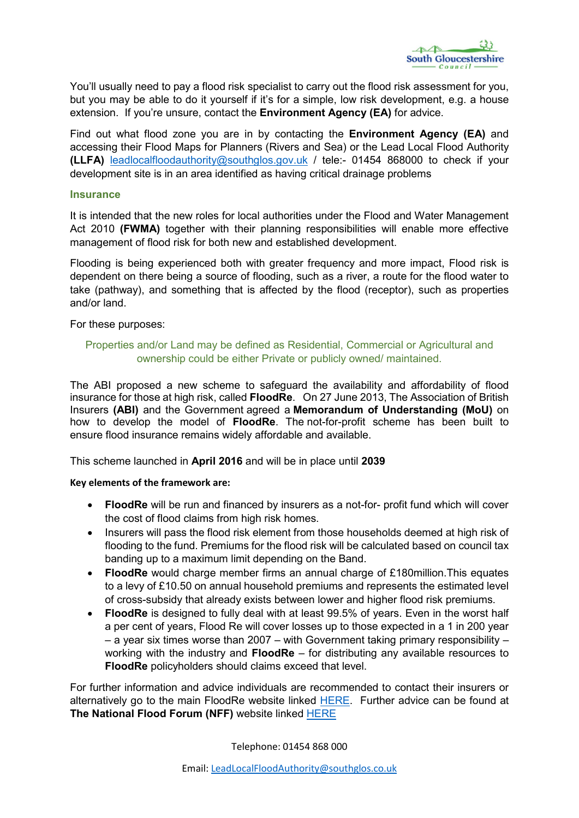

You'll usually need to pay a flood risk specialist to carry out the flood risk assessment for you, but you may be able to do it yourself if it's for a simple, low risk development, e.g. a house extension. If you're unsure, contact the **Environment Agency (EA)** for advice.

Find out what flood zone you are in by contacting the **Environment Agency (EA)** and accessing their Flood Maps for Planners (Rivers and Sea) or the Lead Local Flood Authority (LLFA) [leadlocalfloodauthority@southglos.gov.uk](mailto:leadlocalfloodauthority@southglos.gov.uk) / tele:- 01454 868000 to check if your development site is in an area identified as having critical drainage problems

#### **Insurance**

It is intended that the new roles for local authorities under the Flood and Water Management Act 2010 (**FWMA**) together with their planning responsibilities will enable more effective management of flood risk for both new and established development.

Flooding is being experienced both with greater frequency and more impact, Flood risk is dependent on there being a source of flooding, such as a river, a route for the flood water to take (pathway), and something that is affected by the flood (receptor), such as properties and/or land.

For these purposes:

#### Properties and/or Land may be defined as Residential, Commercial or Agricultural and ownership could be either Private or publicly owned/ maintained.

The ABI proposed a new scheme to safeguard the availability and affordability of flood insurance for those at high risk, called FloodRe. On 27 June 2013, The Association of British Insurers (ABI) and the Government agreed a Memorandum of Understanding (MoU) on how to develop the model of **FloodRe**. The not-for-profit scheme has been built to ensure flood insurance remains widely affordable and available.

This scheme launched in April 2016 and will be in place until 2039

#### Key elements of the framework are:

- FloodRe will be run and financed by insurers as a not-for- profit fund which will cover the cost of flood claims from high risk homes.
- Insurers will pass the flood risk element from those households deemed at high risk of flooding to the fund. Premiums for the flood risk will be calculated based on council tax banding up to a maximum limit depending on the Band.
- FloodRe would charge member firms an annual charge of £180million. This equates to a levy of £10.50 on annual household premiums and represents the estimated level of cross-subsidy that already exists between lower and higher flood risk premiums.
- FloodRe is designed to fully deal with at least 99.5% of years. Even in the worst half a per cent of years, Flood Re will cover losses up to those expected in a 1 in 200 year  $-$  a year six times worse than 2007 – with Government taking primary responsibility – working with the industry and FloodRe – for distributing any available resources to FloodRe policyholders should claims exceed that level.

For further information and advice individuals are recommended to contact their insurers or alternatively go to the main FloodRe website linked [HERE](http://www.floodre.co.uk/). Further advice can be found at The National Flood Forum (NFF) website linked [HERE](http://www.nationalfloodforum.org.uk/)

Telephone: 01454 868 000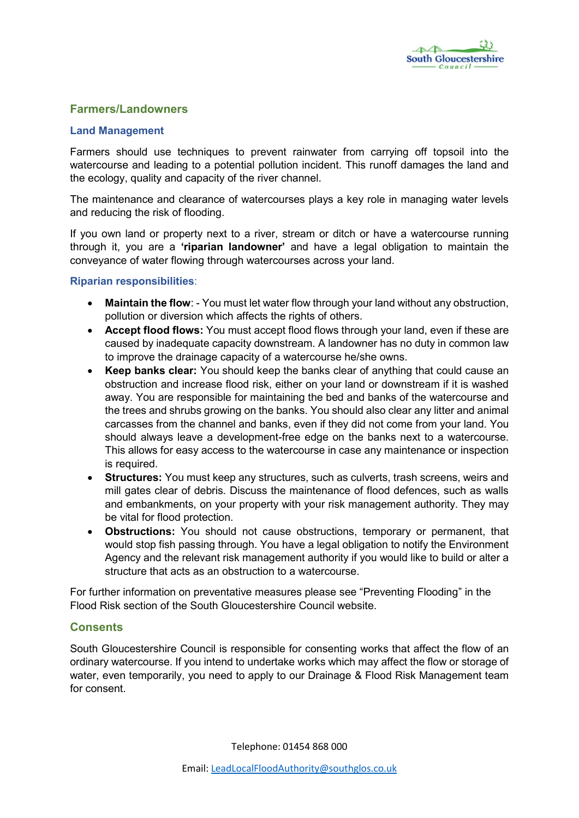# Farmers/Landowners

#### Land Management

Farmers should use techniques to prevent rainwater from carrying off topsoil into the watercourse and leading to a potential pollution incident. This runoff damages the land and the ecology, quality and capacity of the river channel.

The maintenance and clearance of watercourses plays a key role in managing water levels and reducing the risk of flooding.

If you own land or property next to a river, stream or ditch or have a watercourse running through it, you are a 'riparian landowner' and have a legal obligation to maintain the conveyance of water flowing through watercourses across your land.

#### Riparian responsibilities:

- Maintain the flow: You must let water flow through your land without any obstruction, pollution or diversion which affects the rights of others.
- Accept flood flows: You must accept flood flows through your land, even if these are caused by inadequate capacity downstream. A landowner has no duty in common law to improve the drainage capacity of a watercourse he/she owns.
- Keep banks clear: You should keep the banks clear of anything that could cause an obstruction and increase flood risk, either on your land or downstream if it is washed away. You are responsible for maintaining the bed and banks of the watercourse and the trees and shrubs growing on the banks. You should also clear any litter and animal carcasses from the channel and banks, even if they did not come from your land. You should always leave a development-free edge on the banks next to a watercourse. This allows for easy access to the watercourse in case any maintenance or inspection is required.
- Structures: You must keep any structures, such as culverts, trash screens, weirs and mill gates clear of debris. Discuss the maintenance of flood defences, such as walls and embankments, on your property with your risk management authority. They may be vital for flood protection.
- Obstructions: You should not cause obstructions, temporary or permanent, that would stop fish passing through. You have a legal obligation to notify the Environment Agency and the relevant risk management authority if you would like to build or alter a structure that acts as an obstruction to a watercourse.

For further information on preventative measures please see "Preventing Flooding" in the Flood Risk section of the South Gloucestershire Council website.

## **Consents**

South Gloucestershire Council is responsible for consenting works that affect the flow of an ordinary watercourse. If you intend to undertake works which may affect the flow or storage of water, even temporarily, you need to apply to our Drainage & Flood Risk Management team for consent.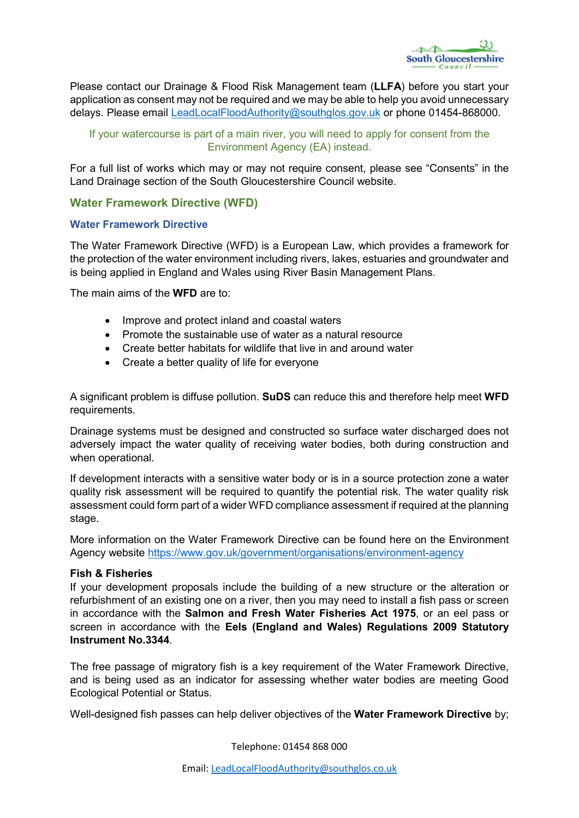

Please contact our Drainage & Flood Risk Management team (LLFA) before you start your application as consent may not be required and we may be able to help you avoid unnecessary delays. Please email [LeadLocalFloodAuthority@southglos.gov.uk](mailto:LeadLocalFloodAuthority@southglos.gov.uk) or phone 01454-868000.

## If your watercourse is part of a main river, you will need to apply for consent from the Environment Agency (EA) instead.

For a full list of works which may or may not require consent, please see "Consents" in the Land Drainage section of the South Gloucestershire Council website.

# Water Framework Directive (WFD)

## Water Framework Directive

The Water Framework Directive (WFD) is a European Law, which provides a framework for the protection of the water environment including rivers, lakes, estuaries and groundwater and is being applied in England and Wales using River Basin Management Plans.

The main aims of the WFD are to:

- Improve and protect inland and coastal waters
- Promote the sustainable use of water as a natural resource
- Create better habitats for wildlife that live in and around water
- Create a better quality of life for everyone

A significant problem is diffuse pollution. SuDS can reduce this and therefore help meet WFD requirements.

Drainage systems must be designed and constructed so surface water discharged does not adversely impact the water quality of receiving water bodies, both during construction and when operational.

If development interacts with a sensitive water body or is in a source protection zone a water quality risk assessment will be required to quantify the potential risk. The water quality risk assessment could form part of a wider WFD compliance assessment if required at the planning stage.

More information on the Water Framework Directive can be found here on the Environment Agency website <https://www.gov.uk/government/organisations/environment-agency>

#### Fish & Fisheries

If your development proposals include the building of a new structure or the alteration or refurbishment of an existing one on a river, then you may need to install a fish pass or screen in accordance with the Salmon and Fresh Water Fisheries Act 1975, or an eel pass or screen in accordance with the Eels (England and Wales) Regulations 2009 Statutory Instrument No.3344.

The free passage of migratory fish is a key requirement of the Water Framework Directive, and is being used as an indicator for assessing whether water bodies are meeting Good Ecological Potential or Status.

Well-designed fish passes can help deliver objectives of the **Water Framework Directive** by;

Telephone: 01454 868 000